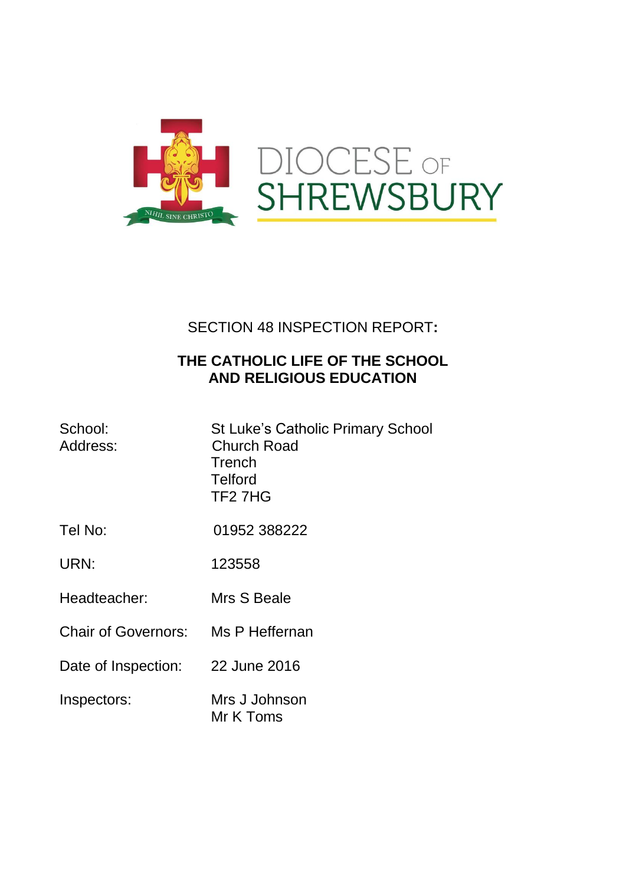

# SECTION 48 INSPECTION REPORT**:**

## **THE CATHOLIC LIFE OF THE SCHOOL AND RELIGIOUS EDUCATION**

| School:<br>Address:                | <b>St Luke's Catholic Primary School</b><br><b>Church Road</b><br>Trench<br><b>Telford</b><br>TF <sub>2</sub> 7H <sub>G</sub> |
|------------------------------------|-------------------------------------------------------------------------------------------------------------------------------|
| Tel No:                            | 01952 388222                                                                                                                  |
| URN:                               | 123558                                                                                                                        |
| Headteacher:                       | Mrs S Beale                                                                                                                   |
| Chair of Governors: Ms P Heffernan |                                                                                                                               |
| Date of Inspection:                | 22 June 2016                                                                                                                  |
| Inspectors:                        | Mrs J Johnson<br>Mr K Toms                                                                                                    |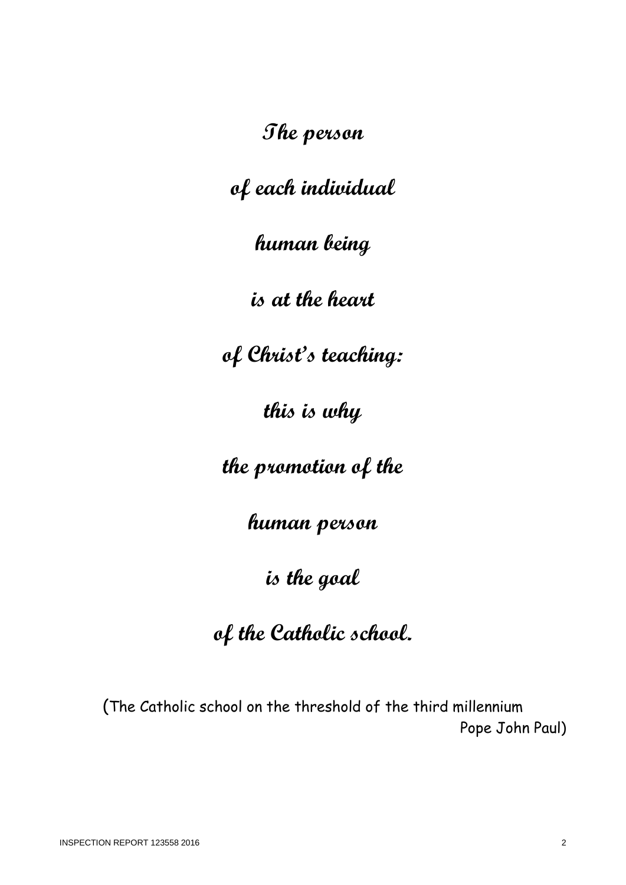**The person**

**of each individual**

**human being**

**is at the heart**

**of Christ's teaching:**

**this is why**

**the promotion of the**

**human person**

**is the goal**

# **of the Catholic school.**

(The Catholic school on the threshold of the third millennium Pope John Paul)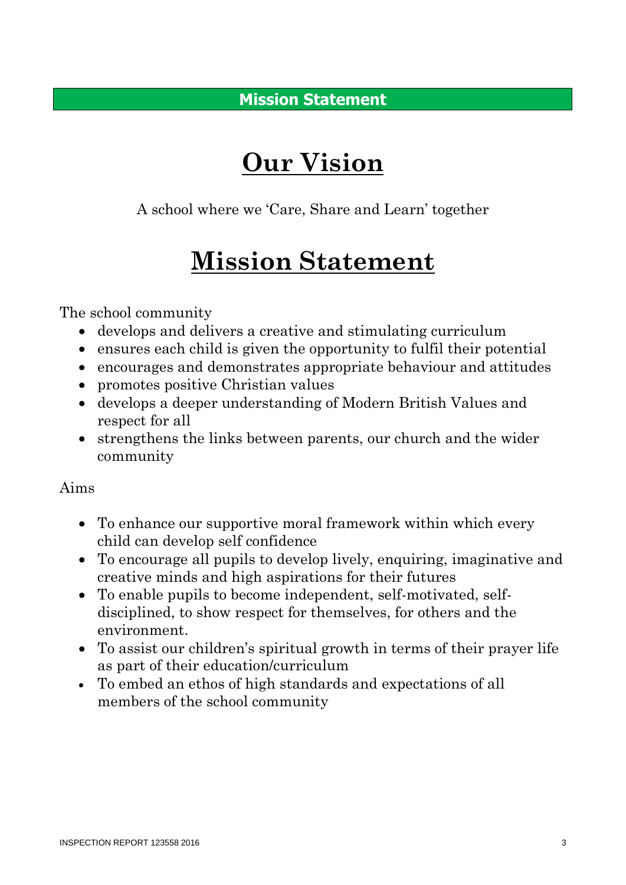**Mission Statement**

# **Our Vision**

A school where we 'Care, Share and Learn' together

# **Mission Statement**

The school community

- develops and delivers a creative and stimulating curriculum
- ensures each child is given the opportunity to fulfil their potential
- encourages and demonstrates appropriate behaviour and attitudes
- promotes positive Christian values
- develops a deeper understanding of Modern British Values and respect for all
- strengthens the links between parents, our church and the wider community

### Aims

- To enhance our supportive moral framework within which every child can develop self confidence
- To encourage all pupils to develop lively, enquiring, imaginative and creative minds and high aspirations for their futures
- To enable pupils to become independent, self-motivated, selfdisciplined, to show respect for themselves, for others and the environment.
- To assist our children's spiritual growth in terms of their prayer life as part of their education/curriculum
- To embed an ethos of high standards and expectations of all members of the school community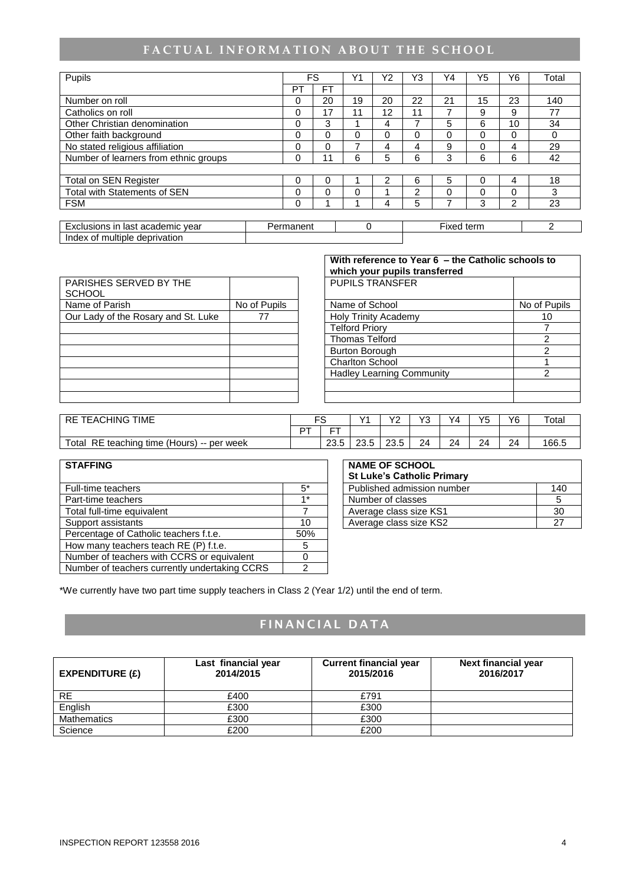# FACTUAL INFORMATION ABOUT THE SCHOOL

| Pupils                                |           |          | FS       | Y1       | Υ2 | Y3 | Y4         | Y5       | Υ6 | Total          |
|---------------------------------------|-----------|----------|----------|----------|----|----|------------|----------|----|----------------|
|                                       |           | PТ       | FT       |          |    |    |            |          |    |                |
| Number on roll                        |           | 0        | 20       | 19       | 20 | 22 | 21         | 15       | 23 | 140            |
| Catholics on roll                     |           | 0        | 17       | 11       | 12 | 11 | 7          | 9        | 9  | 77             |
| Other Christian denomination          |           | $\Omega$ | 3        |          | 4  |    | 5          | 6        | 10 | 34             |
| Other faith background                |           | $\Omega$ | $\Omega$ | $\Omega$ | 0  | 0  | 0          | $\Omega$ | 0  | 0              |
| No stated religious affiliation       |           | 0        | $\Omega$ |          | 4  | 4  | 9          | $\Omega$ | 4  | 29             |
| Number of learners from ethnic groups |           | 0        | 11       | 6        | 5  | 6  | 3          | 6        | 6  | 42             |
|                                       |           |          |          |          |    |    |            |          |    |                |
| <b>Total on SEN Register</b>          |           | 0        | 0        |          | 2  | 6  | 5          | $\Omega$ | 4  | 18             |
| <b>Total with Statements of SEN</b>   |           | $\Omega$ | 0        | $\Omega$ |    | 2  | 0          | $\Omega$ | 0  | 3              |
| <b>FSM</b>                            |           | 0        |          |          | 4  | 5  |            | 3        | 2  | 23             |
|                                       |           |          |          |          |    |    |            |          |    |                |
| Exclusions in last academic year      | Permanent |          |          | $\Omega$ |    |    | Fixed term |          |    | $\overline{2}$ |
| Index of multiple deprivation         |           |          |          |          |    |    |            |          |    |                |

|                                     |              | which your pupils transferred    |               |
|-------------------------------------|--------------|----------------------------------|---------------|
| PARISHES SERVED BY THE              |              | <b>PUPILS TRANSFER</b>           |               |
| <b>SCHOOL</b>                       |              |                                  |               |
| Name of Parish                      | No of Pupils | Name of School                   | No of P       |
| Our Lady of the Rosary and St. Luke |              | <b>Holy Trinity Academy</b>      | 10            |
|                                     |              | <b>Telford Priory</b>            |               |
|                                     |              | <b>Thomas Telford</b>            | 2             |
|                                     |              | <b>Burton Borough</b>            | $\mathcal{P}$ |
|                                     |              | <b>Charlton School</b>           |               |
|                                     |              | <b>Hadley Learning Community</b> | $\mathcal{P}$ |
|                                     |              |                                  |               |
|                                     |              |                                  |               |

|                                     |              | With reference to Year 6 - the Catholic schools to<br>which your pupils transferred |              |
|-------------------------------------|--------------|-------------------------------------------------------------------------------------|--------------|
| PARISHES SERVED BY THE<br>SCHOOL    |              | <b>PUPILS TRANSFER</b>                                                              |              |
| Name of Parish                      | No of Pupils | Name of School                                                                      | No of Pupils |
| Our Lady of the Rosary and St. Luke | 77           | <b>Holy Trinity Academy</b>                                                         | 10           |
|                                     |              | <b>Telford Priory</b>                                                               |              |
|                                     |              | <b>Thomas Telford</b>                                                               |              |
|                                     |              | <b>Burton Borough</b>                                                               | 2            |
|                                     |              | <b>Charlton School</b>                                                              |              |
|                                     |              | <b>Hadley Learning Community</b>                                                    | 2            |
|                                     |              |                                                                                     |              |
|                                     |              |                                                                                     |              |

| <b>TEACHING TIME</b><br>RE.                   |    | --               | $\sqrt{4}$        | vo<br>. <u>.</u> | $\sqrt{2}$<br>ີ | ٧4 | V۵<br>J | Y6 | $\tau$ otal |
|-----------------------------------------------|----|------------------|-------------------|------------------|-----------------|----|---------|----|-------------|
|                                               | r⊤ | $ -$<br>-        |                   |                  |                 |    |         |    |             |
| Total<br>RE teaching time (Hours) -- per week |    | $\Omega$<br>∠ວ.ວ | ົດດ<br>F<br>ں.ں ے | 23.5             | 24              | 24 | 24      | 24 | 166.5       |

| <b>STAFFING</b>                               |      | <b>NAME OF SCHOOL</b><br><b>St Luke's Catholic Primary</b> |     |
|-----------------------------------------------|------|------------------------------------------------------------|-----|
| Full-time teachers                            | $5*$ | Published admission number                                 | 140 |
| Part-time teachers                            | $4*$ | Number of classes                                          | .5  |
| Total full-time equivalent                    |      | Average class size KS1                                     | 30  |
| Support assistants                            | 10   | Average class size KS2                                     | 27  |
| Percentage of Catholic teachers f.t.e.        | 50%  |                                                            |     |
| How many teachers teach RE (P) f.t.e.         | 5    |                                                            |     |
| Number of teachers with CCRS or equivalent    | 0    |                                                            |     |
| Number of teachers currently undertaking CCRS |      |                                                            |     |

| <b>NAME OF SCHOOL</b><br><b>St Luke's Catholic Primary</b> |     |
|------------------------------------------------------------|-----|
| Published admission number                                 | 140 |
| Number of classes                                          |     |
| Average class size KS1                                     | 30  |
| Average class size KS2                                     |     |

\*We currently have two part time supply teachers in Class 2 (Year 1/2) until the end of term.

### **F I N A N C I A L D A T A**

| EXPENDITURE $(E)$ | Last financial year<br>2014/2015 | <b>Current financial year</b><br>2015/2016 | <b>Next financial year</b><br>2016/2017 |
|-------------------|----------------------------------|--------------------------------------------|-----------------------------------------|
| <b>RE</b>         | £400                             | £791                                       |                                         |
| English           | £300                             | £300                                       |                                         |
| Mathematics       | £300                             | £300                                       |                                         |
| Science           | £200                             | £200                                       |                                         |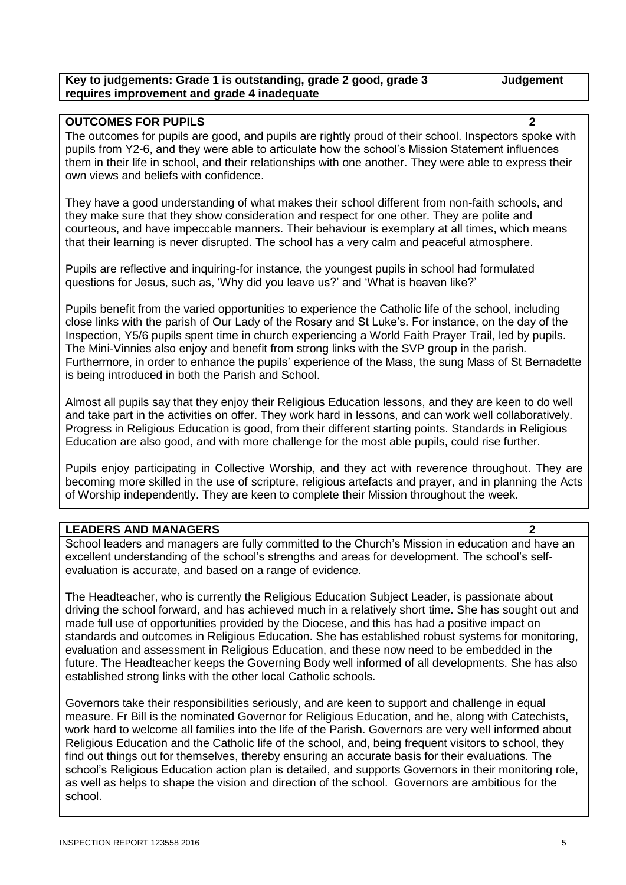| Key to judgements: Grade 1 is outstanding, grade 2 good, grade 3 | Judgement |
|------------------------------------------------------------------|-----------|
| requires improvement and grade 4 inadequate                      |           |

| <b>OUTCOMES FOR PUPILS</b>                                                                              |  |  |  |  |
|---------------------------------------------------------------------------------------------------------|--|--|--|--|
| The outcomes for pupils are good, and pupils are rightly proud of their school. Inspectors spoke with   |  |  |  |  |
| pupils from Y2-6, and they were able to articulate how the school's Mission Statement influences        |  |  |  |  |
| them in their life in school, and their relationships with one another. They were able to express their |  |  |  |  |
| own views and beliefs with confidence.                                                                  |  |  |  |  |

They have a good understanding of what makes their school different from non-faith schools, and they make sure that they show consideration and respect for one other. They are polite and courteous, and have impeccable manners. Their behaviour is exemplary at all times, which means that their learning is never disrupted. The school has a very calm and peaceful atmosphere.

Pupils are reflective and inquiring-for instance, the youngest pupils in school had formulated questions for Jesus, such as, 'Why did you leave us?' and 'What is heaven like?'

Pupils benefit from the varied opportunities to experience the Catholic life of the school, including close links with the parish of Our Lady of the Rosary and St Luke's. For instance, on the day of the Inspection, Y5/6 pupils spent time in church experiencing a World Faith Prayer Trail, led by pupils. The Mini-Vinnies also enjoy and benefit from strong links with the SVP group in the parish. Furthermore, in order to enhance the pupils' experience of the Mass, the sung Mass of St Bernadette is being introduced in both the Parish and School.

Almost all pupils say that they enjoy their Religious Education lessons, and they are keen to do well and take part in the activities on offer. They work hard in lessons, and can work well collaboratively. Progress in Religious Education is good, from their different starting points. Standards in Religious Education are also good, and with more challenge for the most able pupils, could rise further.

Pupils enjoy participating in Collective Worship, and they act with reverence throughout. They are becoming more skilled in the use of scripture, religious artefacts and prayer, and in planning the Acts of Worship independently. They are keen to complete their Mission throughout the week.

#### **LEADERS AND MANAGERS 2**

School leaders and managers are fully committed to the Church's Mission in education and have an excellent understanding of the school's strengths and areas for development. The school's selfevaluation is accurate, and based on a range of evidence.

The Headteacher, who is currently the Religious Education Subject Leader, is passionate about driving the school forward, and has achieved much in a relatively short time. She has sought out and made full use of opportunities provided by the Diocese, and this has had a positive impact on standards and outcomes in Religious Education. She has established robust systems for monitoring, evaluation and assessment in Religious Education, and these now need to be embedded in the future. The Headteacher keeps the Governing Body well informed of all developments. She has also established strong links with the other local Catholic schools.

Governors take their responsibilities seriously, and are keen to support and challenge in equal measure. Fr Bill is the nominated Governor for Religious Education, and he, along with Catechists, work hard to welcome all families into the life of the Parish. Governors are very well informed about Religious Education and the Catholic life of the school, and, being frequent visitors to school, they find out things out for themselves, thereby ensuring an accurate basis for their evaluations. The school's Religious Education action plan is detailed, and supports Governors in their monitoring role, as well as helps to shape the vision and direction of the school. Governors are ambitious for the school.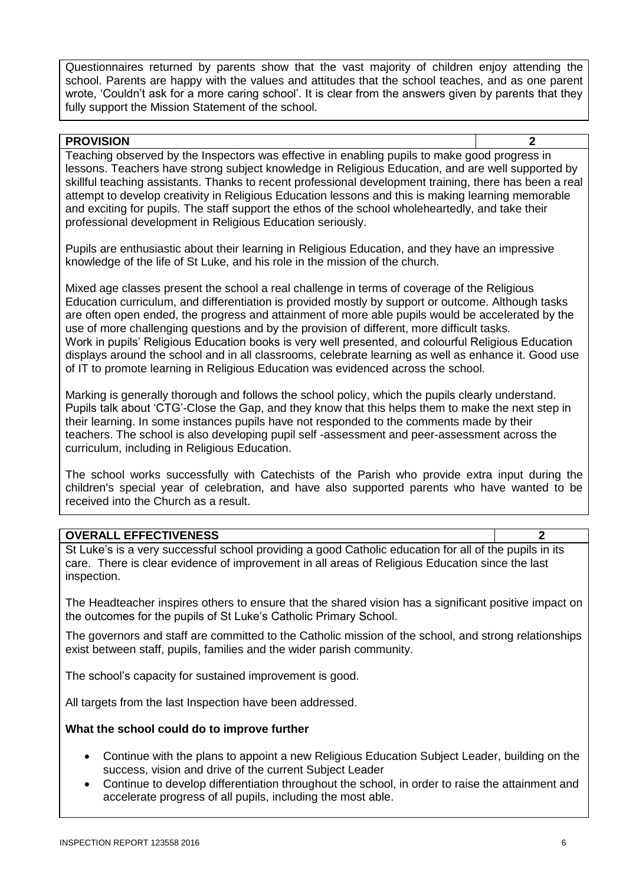Questionnaires returned by parents show that the vast majority of children enjoy attending the school. Parents are happy with the values and attitudes that the school teaches, and as one parent wrote, 'Couldn't ask for a more caring school'. It is clear from the answers given by parents that they fully support the Mission Statement of the school.

#### **PROVISION 2**

Teaching observed by the Inspectors was effective in enabling pupils to make good progress in lessons. Teachers have strong subject knowledge in Religious Education, and are well supported by skillful teaching assistants. Thanks to recent professional development training, there has been a real attempt to develop creativity in Religious Education lessons and this is making learning memorable and exciting for pupils. The staff support the ethos of the school wholeheartedly, and take their professional development in Religious Education seriously.

Pupils are enthusiastic about their learning in Religious Education, and they have an impressive knowledge of the life of St Luke, and his role in the mission of the church.

Mixed age classes present the school a real challenge in terms of coverage of the Religious Education curriculum, and differentiation is provided mostly by support or outcome. Although tasks are often open ended, the progress and attainment of more able pupils would be accelerated by the use of more challenging questions and by the provision of different, more difficult tasks. Work in pupils' Religious Education books is very well presented, and colourful Religious Education displays around the school and in all classrooms, celebrate learning as well as enhance it. Good use of IT to promote learning in Religious Education was evidenced across the school.

Marking is generally thorough and follows the school policy, which the pupils clearly understand. Pupils talk about 'CTG'-Close the Gap, and they know that this helps them to make the next step in their learning. In some instances pupils have not responded to the comments made by their teachers. The school is also developing pupil self -assessment and peer-assessment across the curriculum, including in Religious Education.

The school works successfully with Catechists of the Parish who provide extra input during the children's special year of celebration, and have also supported parents who have wanted to be received into the Church as a result.

#### **OVERALL EFFECTIVENESS 2**

St Luke's is a very successful school providing a good Catholic education for all of the pupils in its care. There is clear evidence of improvement in all areas of Religious Education since the last inspection.

The Headteacher inspires others to ensure that the shared vision has a significant positive impact on the outcomes for the pupils of St Luke's Catholic Primary School.

The governors and staff are committed to the Catholic mission of the school, and strong relationships exist between staff, pupils, families and the wider parish community.

The school's capacity for sustained improvement is good.

All targets from the last Inspection have been addressed.

#### **What the school could do to improve further**

- Continue with the plans to appoint a new Religious Education Subject Leader, building on the success, vision and drive of the current Subject Leader
- Continue to develop differentiation throughout the school, in order to raise the attainment and accelerate progress of all pupils, including the most able.